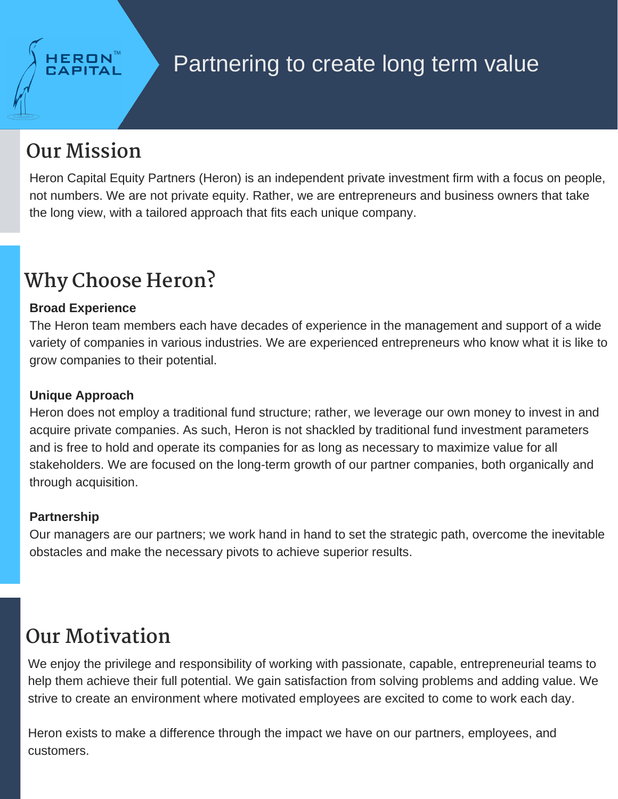## **Our Mission**

Heron Capital Equity Partners (Heron) is an independent private investment firm with a focus on people, not numbers. We are not private equity. Rather, we are entrepreneurs and business owners that take the long view, with a tailored approach that fits each unique company.

# **Why Choose Heron?**

#### **Broad Experience**

The Heron team members each have decades of experience in the management and support of a wide variety of companies in various industries. We are experienced entrepreneurs who know what it is like to grow companies to their potential.

#### **Unique Approach**

Heron does not employ a traditional fund structure; rather, we leverage our own money to invest in and acquire private companies. As such, Heron is not shackled by traditional fund investment parameters and is free to hold and operate its companies for as long as necessary to maximize value for all stakeholders. We are focused on the long-term growth of our partner companies, both organically and through acquisition.

#### **Partnership**

Our managers are our partners; we work hand in hand to set the strategic path, overcome the inevitable obstacles and make the necessary pivots to achieve superior results.

## **Our Motivation**

We enjoy the privilege and responsibility of working with passionate, capable, entrepreneurial teams to help them achieve their full potential. We gain satisfaction from solving problems and adding value. We strive to create an environment where motivated employees are excited to come to work each day.

Heron exists to make a difference through the impact we have on our partners, employees, and customers.